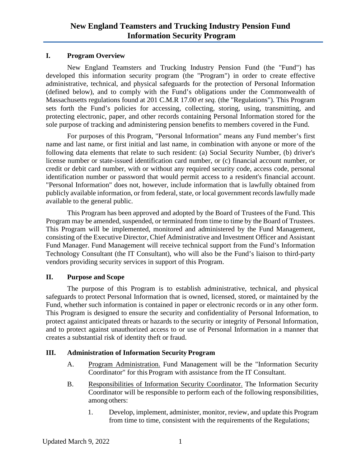### **I. Program Overview**

New England Teamsters and Trucking Industry Pension Fund (the "Fund") has developed this information security program (the "Program") in order to create effective administrative, technical, and physical safeguards for the protection of Personal Information (defined below), and to comply with the Fund's obligations under the Commonwealth of Massachusetts regulations found at 201 C.M.R 17.00 *et seq.* (the "Regulations"). This Program sets forth the Fund's policies for accessing, collecting, storing, using, transmitting, and protecting electronic, paper, and other records containing Personal Information stored for the sole purpose of tracking and administering pension benefits to members covered in the Fund.

For purposes of this Program, "Personal Information" means any Fund member's first name and last name, or first initial and last name, in combination with anyone or more of the following data elements that relate to such resident: (a) Social Security Number, (b) driver's license number or state-issued identification card number, or (c) financial account number, or credit or debit card number, with or without any required security code, access code, personal identification number or password that would permit access to a resident's financial account. "Personal Information" does not, however, include information that is lawfully obtained from publicly available information, or from federal, state, or local government records lawfully made available to the general public.

This Program has been approved and adopted by the Board of Trustees of the Fund. This Program may be amended, suspended, or terminated from time to time by the Board of Trustees. This Program will be implemented, monitored and administered by the Fund Management, consisting of the Executive Director, Chief Administrative and Investment Officer and Assistant Fund Manager. Fund Management will receive technical support from the Fund's Information Technology Consultant (the IT Consultant), who will also be the Fund's liaison to third-party vendors providing security services in support of this Program.

### **II. Purpose and Scope**

The purpose of this Program is to establish administrative, technical, and physical safeguards to protect Personal Information that is owned, licensed, stored, or maintained by the Fund, whether such information is contained in paper or electronic records or in any other form. This Program is designed to ensure the security and confidentiality of Personal Information, to protect against anticipated threats or hazards to the security or integrity of Personal Information, and to protect against unauthorized access to or use of Personal Information in a manner that creates a substantial risk of identity theft or fraud.

### **III. Administration of Information Security Program**

- A. Program Administration. Fund Management will be the "Information Security Coordinator" for this Program with assistance from the IT Consultant.
- B. Responsibilities of Information Security Coordinator. The Information Security Coordinator will be responsible to perform each of the following responsibilities, among others:
	- 1. Develop, implement, administer, monitor, review, and update this Program from time to time, consistent with the requirements of the Regulations;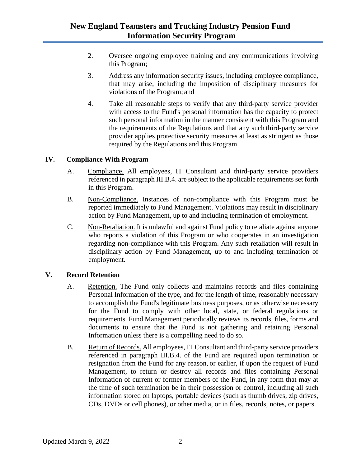- 2. Oversee ongoing employee training and any communications involving this Program;
- 3. Address any information security issues, including employee compliance, that may arise, including the imposition of disciplinary measures for violations of the Program; and
- 4. Take all reasonable steps to verify that any third-party service provider with access to the Fund's personal information has the capacity to protect such personal information in the manner consistent with this Program and the requirements of the Regulations and that any such third-party service provider applies protective security measures at least as stringent as those required by the Regulations and this Program.

### **IV. Compliance With Program**

- A. Compliance. All employees, IT Consultant and third-party service providers referenced in paragraph III.B.4. are subject to the applicable requirements set forth in this Program.
- B. Non-Compliance. Instances of non-compliance with this Program must be reported immediately to Fund Management. Violations may result in disciplinary action by Fund Management, up to and including termination of employment.
- C. Non-Retaliation. It is unlawful and against Fund policy to retaliate against anyone who reports a violation of this Program or who cooperates in an investigation regarding non-compliance with this Program. Any such retaliation will result in disciplinary action by Fund Management, up to and including termination of employment.

### **V. Record Retention**

- A. Retention. The Fund only collects and maintains records and files containing Personal Information of the type, and for the length of time, reasonably necessary to accomplish the Fund's legitimate business purposes, or as otherwise necessary for the Fund to comply with other local, state, or federal regulations or requirements. Fund Management periodically reviews its records, files, forms and documents to ensure that the Fund is not gathering and retaining Personal Information unless there is a compelling need to do so.
- B. Return of Records. All employees, IT Consultant and third-party service providers referenced in paragraph III.B.4. of the Fund are required upon termination or resignation from the Fund for any reason, or earlier, if upon the request of Fund Management, to return or destroy all records and files containing Personal Information of current or former members of the Fund, in any form that may at the time of such termination be in their possession or control, including all such information stored on laptops, portable devices (such as thumb drives, zip drives, CDs, DVDs or cell phones), or other media, or in files, records, notes, or papers.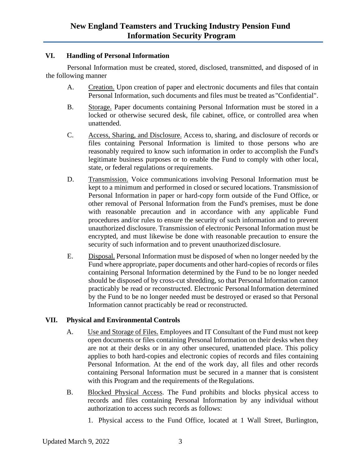### **VI. Handling of Personal Information**

Personal Information must be created, stored, disclosed, transmitted, and disposed of in the following manner

- A. Creation. Upon creation of paper and electronic documents and files that contain Personal Information, such documents and files must be treated as "Confidential".
- B. Storage. Paper documents containing Personal Information must be stored in a locked or otherwise secured desk, file cabinet, office, or controlled area when unattended.
- C. Access, Sharing, and Disclosure. Access to, sharing, and disclosure of records or files containing Personal Information is limited to those persons who are reasonably required to know such information in order to accomplish the Fund's legitimate business purposes or to enable the Fund to comply with other local, state, or federal regulations or requirements.
- D. Transmission. Voice communications involving Personal Information must be kept to a minimum and performed in closed or secured locations. Transmission of Personal Information in paper or hard-copy form outside of the Fund Office, or other removal of Personal Information from the Fund's premises, must be done with reasonable precaution and in accordance with any applicable Fund procedures and/or rules to ensure the security of such information and to prevent unauthorized disclosure. Transmission of electronic Personal Information must be encrypted, and must likewise be done with reasonable precaution to ensure the security of such information and to prevent unauthorized disclosure.
- E. Disposal. Personal Information must be disposed of when no longer needed by the Fund where appropriate, paper documents and other hard-copies of records or files containing Personal Information determined by the Fund to be no longer needed should be disposed of by cross-cut shredding, so that Personal Information cannot practicably be read or reconstructed. Electronic Personal Information determined by the Fund to be no longer needed must be destroyed or erased so that Personal Information cannot practicably be read or reconstructed.

### **VII. Physical and Environmental Controls**

- A. Use and Storage of Files. Employees and IT Consultant of the Fund must not keep open documents or files containing Personal Information on their desks when they are not at their desks or in any other unsecured, unattended place. This policy applies to both hard-copies and electronic copies of records and files containing Personal Information. At the end of the work day, all files and other records containing Personal Information must be secured in a manner that is consistent with this Program and the requirements of the Regulations.
- B. Blocked Physical Access. The Fund prohibits and blocks physical access to records and files containing Personal Information by any individual without authorization to access such records as follows:
	- 1. Physical access to the Fund Office, located at 1 Wall Street, Burlington,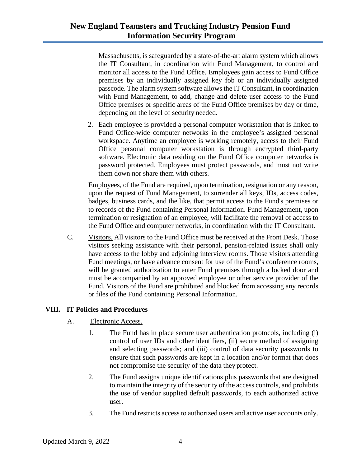Massachusetts, is safeguarded by a state-of-the-art alarm system which allows the IT Consultant, in coordination with Fund Management, to control and monitor all access to the Fund Office. Employees gain access to Fund Office premises by an individually assigned key fob or an individually assigned passcode. The alarm system software allows the IT Consultant, in coordination with Fund Management, to add, change and delete user access to the Fund Office premises or specific areas of the Fund Office premises by day or time, depending on the level of security needed.

2. Each employee is provided a personal computer workstation that is linked to Fund Office-wide computer networks in the employee's assigned personal workspace. Anytime an employee is working remotely, access to their Fund Office personal computer workstation is through encrypted third-party software. Electronic data residing on the Fund Office computer networks is password protected. Employees must protect passwords, and must not write them down nor share them with others.

Employees, of the Fund are required, upon termination, resignation or any reason, upon the request of Fund Management, to surrender all keys, IDs, access codes, badges, business cards, and the like, that permit access to the Fund's premises or to records of the Fund containing Personal Information. Fund Management, upon termination or resignation of an employee, will facilitate the removal of access to the Fund Office and computer networks, in coordination with the IT Consultant.

C. Visitors. All visitors to the Fund Office must be received at the Front Desk. Those visitors seeking assistance with their personal, pension-related issues shall only have access to the lobby and adjoining interview rooms. Those visitors attending Fund meetings, or have advance consent for use of the Fund's conference rooms, will be granted authorization to enter Fund premises through a locked door and must be accompanied by an approved employee or other service provider of the Fund. Visitors of the Fund are prohibited and blocked from accessing any records or files of the Fund containing Personal Information.

### **VIII. IT Policies and Procedures**

- A. Electronic Access.
	- 1. The Fund has in place secure user authentication protocols, including (i) control of user IDs and other identifiers, (ii) secure method of assigning and selecting passwords; and (iii) control of data security passwords to ensure that such passwords are kept in a location and/or format that does not compromise the security of the data they protect.
	- 2. The Fund assigns unique identifications plus passwords that are designed to maintain the integrity of the security of the access controls, and prohibits the use of vendor supplied default passwords, to each authorized active user.
	- 3. The Fund restricts access to authorized users and active user accounts only.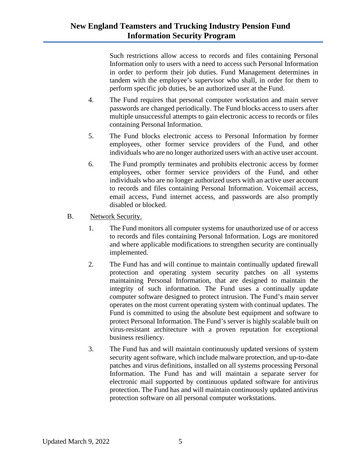Such restrictions allow access to records and files containing Personal Information only to users with a need to access such Personal Information in order to perform their job duties. Fund Management determines in tandem with the employee's supervisor who shall, in order for them to perform specific job duties, be an authorized user at the Fund.

- 4. The Fund requires that personal computer workstation and main server passwords are changed periodically. The Fund blocks access to users after multiple unsuccessful attempts to gain electronic access to records or files containing Personal Information.
- 5. The Fund blocks electronic access to Personal Information by former employees, other former service providers of the Fund, and other individuals who are no longer authorized users with an active user account.
- 6. The Fund promptly terminates and prohibits electronic access by former employees, other former service providers of the Fund, and other individuals who are no longer authorized users with an active user account to records and files containing Personal Information. Voicemail access, email access, Fund internet access, and passwords are also promptly disabled or blocked.
- B. Network Security.
	- 1. The Fund monitors all computer systems for unauthorized use of or access to records and files containing Personal Information. Logs are monitored and where applicable modifications to strengthen security are continually implemented.
	- 2. The Fund has and will continue to maintain continually updated firewall protection and operating system security patches on all systems maintaining Personal Information, that are designed to maintain the integrity of such information. The Fund uses a continually update computer software designed to protect intrusion. The Fund's main server operates on the most current operating system with continual updates. The Fund is committed to using the absolute best equipment and software to protect Personal Information. The Fund's server is highly scalable built on virus-resistant architecture with a proven reputation for exceptional business resiliency.
	- 3. The Fund has and will maintain continuously updated versions of system security agent software, which include malware protection, and up-to-date patches and virus definitions, installed on all systems processing Personal Information. The Fund has and will maintain a separate server for electronic mail supported by continuous updated software for antivirus protection. The Fund has and will maintain continuously updated antivirus protection software on all personal computer workstations.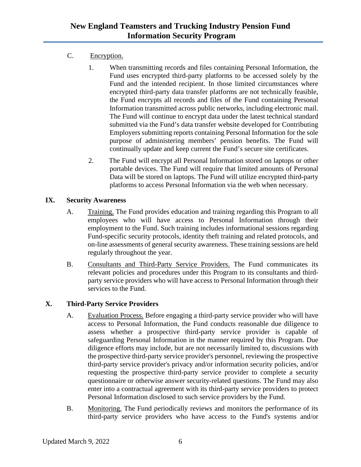# C. Encryption.

- 1. When transmitting records and files containing Personal Information, the Fund uses encrypted third-party platforms to be accessed solely by the Fund and the intended recipient. In those limited circumstances where encrypted third-party data transfer platforms are not technically feasible, the Fund encrypts all records and files of the Fund containing Personal Information transmitted across public networks, including electronic mail. The Fund will continue to encrypt data under the latest technical standard submitted via the Fund's data transfer website developed for Contributing Employers submitting reports containing Personal Information for the sole purpose of administering members' pension benefits. The Fund will continually update and keep current the Fund's secure site certificates.
- 2. The Fund will encrypt all Personal Information stored on laptops or other portable devices. The Fund will require that limited amounts of Personal Data will be stored on laptops. The Fund will utilize encrypted third-party platforms to access Personal Information via the web when necessary.

## **IX. Security Awareness**

- A. Training. The Fund provides education and training regarding this Program to all employees who will have access to Personal Information through their employment to the Fund. Such training includes informational sessions regarding Fund-specific security protocols, identity theft training and related protocols, and on-line assessments of general security awareness. These training sessions are held regularly throughout the year.
- B. Consultants and Third-Party Service Providers. The Fund communicates its relevant policies and procedures under this Program to its consultants and thirdparty service providers who will have access to Personal Information through their services to the Fund.

# **X. Third-Party Service Providers**

- A. Evaluation Process. Before engaging a third-party service provider who will have access to Personal Information, the Fund conducts reasonable due diligence to assess whether a prospective third-party service provider is capable of safeguarding Personal Information in the manner required by this Program. Due diligence efforts may include, but are not necessarily limited to, discussions with the prospective third-party service provider's personnel, reviewing the prospective third-party service provider's privacy and/or information security policies, and/or requesting the prospective third-party service provider to complete a security questionnaire or otherwise answer security-related questions. The Fund may also enter into a contractual agreement with its third-party service providers to protect Personal Information disclosed to such service providers by the Fund.
- B. Monitoring. The Fund periodically reviews and monitors the performance of its third-party service providers who have access to the Fund's systems and/or